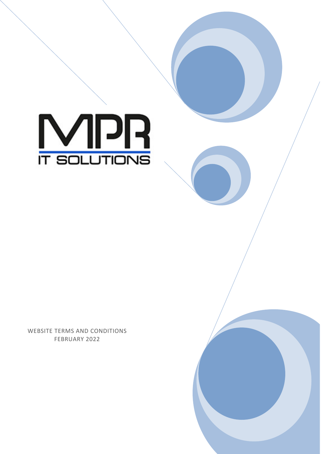

WEBSITE TERMS AND CONDITIONS FEBRUARY 2022